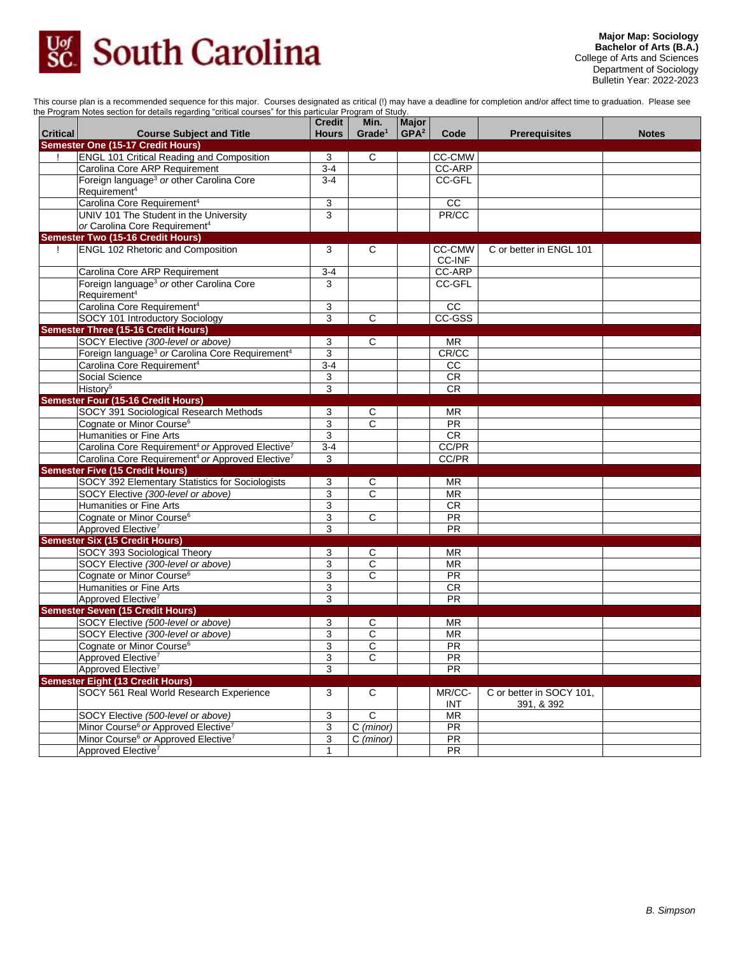

This course plan is a recommended sequence for this major. Courses designated as critical (!) may have a deadline for completion and/or affect time to graduation. Please see the Program Notes section for details regarding "critical courses" for this particular Program of Study.

| <b>Critical</b>                          | <b>Course Subject and Title</b>                                                  | <b>Credit</b><br><b>Hours</b> | Min.<br>Grade <sup>1</sup>     | <b>Major</b><br>GPA <sup>2</sup> | Code            | <b>Prerequisites</b>                   | <b>Notes</b> |
|------------------------------------------|----------------------------------------------------------------------------------|-------------------------------|--------------------------------|----------------------------------|-----------------|----------------------------------------|--------------|
| <b>Semester One (15-17 Credit Hours)</b> |                                                                                  |                               |                                |                                  |                 |                                        |              |
|                                          | <b>ENGL 101 Critical Reading and Composition</b>                                 | 3                             | C                              |                                  | <b>CC-CMW</b>   |                                        |              |
|                                          | Carolina Core ARP Requirement                                                    | $3-4$                         |                                |                                  | CC-ARP          |                                        |              |
|                                          | Foreign language <sup>3</sup> or other Carolina Core<br>Requirement <sup>4</sup> | $3-4$                         |                                |                                  | CC-GFL          |                                        |              |
|                                          | Carolina Core Requirement <sup>4</sup>                                           | 3                             |                                |                                  | $\overline{cc}$ |                                        |              |
|                                          | UNIV 101 The Student in the University                                           | 3                             |                                |                                  | PR/CC           |                                        |              |
|                                          | or Carolina Core Requirement <sup>4</sup>                                        |                               |                                |                                  |                 |                                        |              |
|                                          | <b>Semester Two (15-16 Credit Hours)</b>                                         |                               |                                |                                  |                 |                                        |              |
| L                                        | <b>ENGL 102 Rhetoric and Composition</b>                                         | 3                             | C                              |                                  | <b>CC-CMW</b>   | C or better in ENGL 101                |              |
|                                          |                                                                                  |                               |                                |                                  | CC-INF          |                                        |              |
|                                          | Carolina Core ARP Requirement                                                    | $3 - 4$                       |                                |                                  | <b>CC-ARP</b>   |                                        |              |
|                                          | Foreign language <sup>3</sup> or other Carolina Core                             | 3                             |                                |                                  | CC-GFL          |                                        |              |
|                                          | Requirement <sup>4</sup>                                                         |                               |                                |                                  |                 |                                        |              |
|                                          | Carolina Core Requirement <sup>4</sup>                                           | 3                             |                                |                                  | CC              |                                        |              |
|                                          | SOCY 101 Introductory Sociology                                                  | 3                             | C                              |                                  | CC-GSS          |                                        |              |
|                                          | <b>Semester Three (15-16 Credit Hours)</b>                                       |                               |                                |                                  |                 |                                        |              |
|                                          | SOCY Elective (300-level or above)                                               | 3                             | C                              |                                  | MR              |                                        |              |
|                                          | Foreign language <sup>3</sup> or Carolina Core Requirement <sup>4</sup>          | 3                             |                                |                                  | CR/CC           |                                        |              |
|                                          | Carolina Core Requirement <sup>4</sup>                                           | $3-4$                         |                                |                                  | $\overline{cc}$ |                                        |              |
|                                          | Social Science                                                                   | 3                             |                                |                                  | CR              |                                        |              |
|                                          | History <sup>5</sup>                                                             | 3                             |                                |                                  | CR              |                                        |              |
|                                          | <b>Semester Four (15-16 Credit Hours)</b>                                        |                               |                                |                                  |                 |                                        |              |
|                                          | SOCY 391 Sociological Research Methods                                           | 3                             | C                              |                                  | <b>MR</b>       |                                        |              |
|                                          | Cognate or Minor Course <sup>6</sup>                                             | 3                             | $\mathsf{C}$                   |                                  | <b>PR</b>       |                                        |              |
|                                          | <b>Humanities or Fine Arts</b>                                                   | 3                             |                                |                                  | <b>CR</b>       |                                        |              |
|                                          | Carolina Core Requirement <sup>4</sup> or Approved Elective <sup>7</sup>         | $3-4$                         |                                |                                  | CC/PR           |                                        |              |
|                                          | Carolina Core Requirement <sup>4</sup> or Approved Elective <sup>7</sup>         | 3                             |                                |                                  | CC/PR           |                                        |              |
|                                          | <b>Semester Five (15 Credit Hours)</b>                                           |                               |                                |                                  |                 |                                        |              |
|                                          | SOCY 392 Elementary Statistics for Sociologists                                  | 3                             | C                              |                                  | <b>MR</b>       |                                        |              |
|                                          | SOCY Elective (300-level or above)                                               | 3                             | $\overline{c}$                 |                                  | <b>MR</b>       |                                        |              |
|                                          | <b>Humanities or Fine Arts</b>                                                   | 3                             |                                |                                  | <b>CR</b>       |                                        |              |
|                                          | Cognate or Minor Course <sup>6</sup>                                             | 3                             | $\mathsf{C}$                   |                                  | PR              |                                        |              |
|                                          | Approved Elective <sup>7</sup>                                                   | 3                             |                                |                                  | $\overline{PR}$ |                                        |              |
|                                          | <b>Semester Six (15 Credit Hours)</b>                                            |                               |                                |                                  |                 |                                        |              |
|                                          | SOCY 393 Sociological Theory                                                     | 3                             | C                              |                                  | <b>MR</b>       |                                        |              |
|                                          | SOCY Elective (300-level or above)                                               | 3                             | C                              |                                  | <b>MR</b>       |                                        |              |
|                                          | Cognate or Minor Course <sup>6</sup>                                             | 3                             | $\mathbf C$                    |                                  | <b>PR</b>       |                                        |              |
|                                          | <b>Humanities or Fine Arts</b>                                                   | 3                             |                                |                                  | CR              |                                        |              |
|                                          | Approved Elective <sup>7</sup>                                                   | 3                             |                                |                                  | <b>PR</b>       |                                        |              |
|                                          | <b>Semester Seven (15 Credit Hours)</b>                                          |                               |                                |                                  |                 |                                        |              |
|                                          | SOCY Elective (500-level or above)                                               | 3                             | С                              |                                  | ΜR              |                                        |              |
|                                          | SOCY Elective (300-level or above)                                               | 3                             | $\overline{c}$                 |                                  | <b>MR</b>       |                                        |              |
|                                          | Cognate or Minor Course <sup>6</sup>                                             | 3                             | $\overline{C}$                 |                                  | PR              |                                        |              |
|                                          | Approved Elective'                                                               | 3                             | C                              |                                  | <b>PR</b>       |                                        |              |
|                                          | Approved Elective <sup>7</sup>                                                   | 3                             |                                |                                  | <b>PR</b>       |                                        |              |
|                                          | <b>Semester Eight (13 Credit Hours)</b>                                          |                               |                                |                                  |                 |                                        |              |
|                                          | SOCY 561 Real World Research Experience                                          | 3                             | C                              |                                  | MR/CC-<br>INT   | C or better in SOCY 101,<br>391, & 392 |              |
|                                          | SOCY Elective (500-level or above)                                               | 3                             | $\overline{c}$                 |                                  | <b>MR</b>       |                                        |              |
|                                          | Minor Course <sup>6</sup> or Approved Elective <sup>7</sup>                      | 3                             | $\overline{C \text{ (minor)}}$ |                                  | PR              |                                        |              |
|                                          | Minor Course <sup>6</sup> or Approved Elective <sup>7</sup>                      | 3                             | C (minor)                      |                                  | PR              |                                        |              |
|                                          | Approved Elective <sup>7</sup>                                                   | 1                             |                                |                                  | PR              |                                        |              |